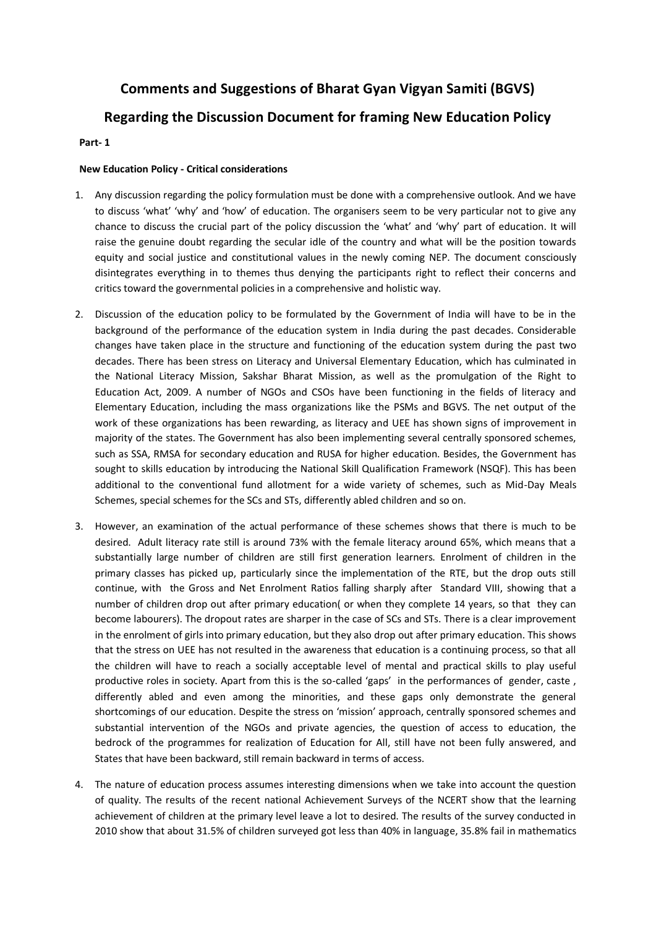# **Comments and Suggestions of Bharat Gyan Vigyan Samiti (BGVS)**

# **Regarding the Discussion Document for framing New Education Policy**

## **Part- 1**

## **New Education Policy - Critical considerations**

- 1. Any discussion regarding the policy formulation must be done with a comprehensive outlook. And we have to discuss 'what' 'why' and 'how' of education. The organisers seem to be very particular not to give any chance to discuss the crucial part of the policy discussion the 'what' and 'why' part of education. It will raise the genuine doubt regarding the secular idle of the country and what will be the position towards equity and social justice and constitutional values in the newly coming NEP. The document consciously disintegrates everything in to themes thus denying the participants right to reflect their concerns and critics toward the governmental policies in a comprehensive and holistic way.
- 2. Discussion of the education policy to be formulated by the Government of India will have to be in the background of the performance of the education system in India during the past decades. Considerable changes have taken place in the structure and functioning of the education system during the past two decades. There has been stress on Literacy and Universal Elementary Education, which has culminated in the National Literacy Mission, Sakshar Bharat Mission, as well as the promulgation of the Right to Education Act, 2009. A number of NGOs and CSOs have been functioning in the fields of literacy and Elementary Education, including the mass organizations like the PSMs and BGVS. The net output of the work of these organizations has been rewarding, as literacy and UEE has shown signs of improvement in majority of the states. The Government has also been implementing several centrally sponsored schemes, such as SSA, RMSA for secondary education and RUSA for higher education. Besides, the Government has sought to skills education by introducing the National Skill Qualification Framework (NSQF). This has been additional to the conventional fund allotment for a wide variety of schemes, such as Mid-Day Meals Schemes, special schemes for the SCs and STs, differently abled children and so on.
- 3. However, an examination of the actual performance of these schemes shows that there is much to be desired. Adult literacy rate still is around 73% with the female literacy around 65%, which means that a substantially large number of children are still first generation learners. Enrolment of children in the primary classes has picked up, particularly since the implementation of the RTE, but the drop outs still continue, with the Gross and Net Enrolment Ratios falling sharply after Standard VIII, showing that a number of children drop out after primary education( or when they complete 14 years, so that they can become labourers). The dropout rates are sharper in the case of SCs and STs. There is a clear improvement in the enrolment of girls into primary education, but they also drop out after primary education. This shows that the stress on UEE has not resulted in the awareness that education is a continuing process, so that all the children will have to reach a socially acceptable level of mental and practical skills to play useful productive roles in society. Apart from this is the so-called 'gaps' in the performances of gender, caste , differently abled and even among the minorities, and these gaps only demonstrate the general shortcomings of our education. Despite the stress on 'mission' approach, centrally sponsored schemes and substantial intervention of the NGOs and private agencies, the question of access to education, the bedrock of the programmes for realization of Education for All, still have not been fully answered, and States that have been backward, still remain backward in terms of access.
- 4. The nature of education process assumes interesting dimensions when we take into account the question of quality. The results of the recent national Achievement Surveys of the NCERT show that the learning achievement of children at the primary level leave a lot to desired. The results of the survey conducted in 2010 show that about 31.5% of children surveyed got less than 40% in language, 35.8% fail in mathematics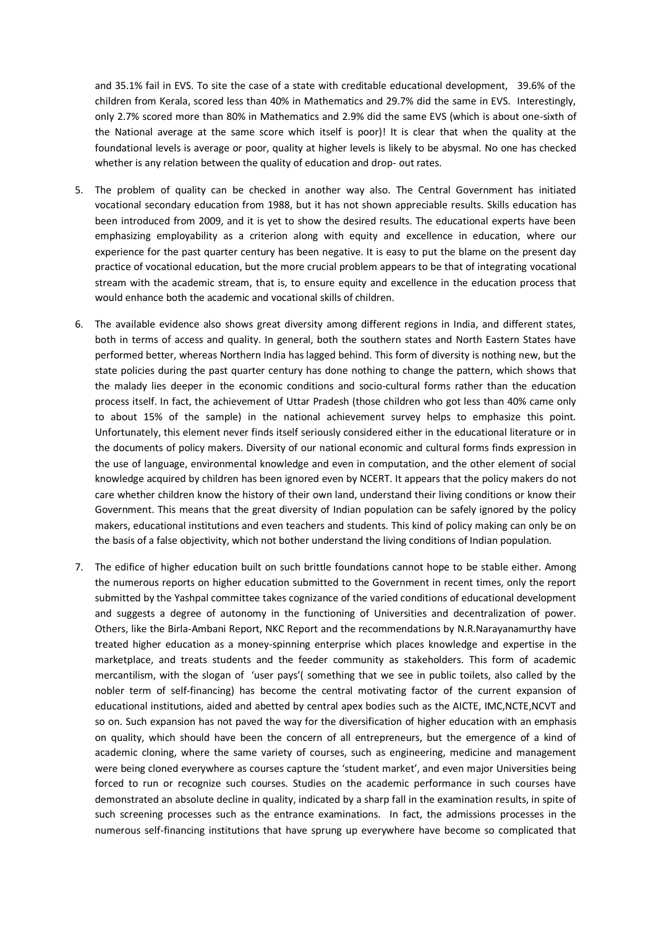and 35.1% fail in EVS. To site the case of a state with creditable educational development, 39.6% of the children from Kerala, scored less than 40% in Mathematics and 29.7% did the same in EVS. Interestingly, only 2.7% scored more than 80% in Mathematics and 2.9% did the same EVS (which is about one-sixth of the National average at the same score which itself is poor)! It is clear that when the quality at the foundational levels is average or poor, quality at higher levels is likely to be abysmal. No one has checked whether is any relation between the quality of education and drop- out rates.

- 5. The problem of quality can be checked in another way also. The Central Government has initiated vocational secondary education from 1988, but it has not shown appreciable results. Skills education has been introduced from 2009, and it is yet to show the desired results. The educational experts have been emphasizing employability as a criterion along with equity and excellence in education, where our experience for the past quarter century has been negative. It is easy to put the blame on the present day practice of vocational education, but the more crucial problem appears to be that of integrating vocational stream with the academic stream, that is, to ensure equity and excellence in the education process that would enhance both the academic and vocational skills of children.
- 6. The available evidence also shows great diversity among different regions in India, and different states, both in terms of access and quality. In general, both the southern states and North Eastern States have performed better, whereas Northern India has lagged behind. This form of diversity is nothing new, but the state policies during the past quarter century has done nothing to change the pattern, which shows that the malady lies deeper in the economic conditions and socio-cultural forms rather than the education process itself. In fact, the achievement of Uttar Pradesh (those children who got less than 40% came only to about 15% of the sample) in the national achievement survey helps to emphasize this point. Unfortunately, this element never finds itself seriously considered either in the educational literature or in the documents of policy makers. Diversity of our national economic and cultural forms finds expression in the use of language, environmental knowledge and even in computation, and the other element of social knowledge acquired by children has been ignored even by NCERT. It appears that the policy makers do not care whether children know the history of their own land, understand their living conditions or know their Government. This means that the great diversity of Indian population can be safely ignored by the policy makers, educational institutions and even teachers and students. This kind of policy making can only be on the basis of a false objectivity, which not bother understand the living conditions of Indian population.
- 7. The edifice of higher education built on such brittle foundations cannot hope to be stable either. Among the numerous reports on higher education submitted to the Government in recent times, only the report submitted by the Yashpal committee takes cognizance of the varied conditions of educational development and suggests a degree of autonomy in the functioning of Universities and decentralization of power. Others, like the Birla-Ambani Report, NKC Report and the recommendations by N.R.Narayanamurthy have treated higher education as a money-spinning enterprise which places knowledge and expertise in the marketplace, and treats students and the feeder community as stakeholders. This form of academic mercantilism, with the slogan of 'user pays'( something that we see in public toilets, also called by the nobler term of self-financing) has become the central motivating factor of the current expansion of educational institutions, aided and abetted by central apex bodies such as the AICTE, IMC,NCTE,NCVT and so on. Such expansion has not paved the way for the diversification of higher education with an emphasis on quality, which should have been the concern of all entrepreneurs, but the emergence of a kind of academic cloning, where the same variety of courses, such as engineering, medicine and management were being cloned everywhere as courses capture the 'student market', and even major Universities being forced to run or recognize such courses. Studies on the academic performance in such courses have demonstrated an absolute decline in quality, indicated by a sharp fall in the examination results, in spite of such screening processes such as the entrance examinations. In fact, the admissions processes in the numerous self-financing institutions that have sprung up everywhere have become so complicated that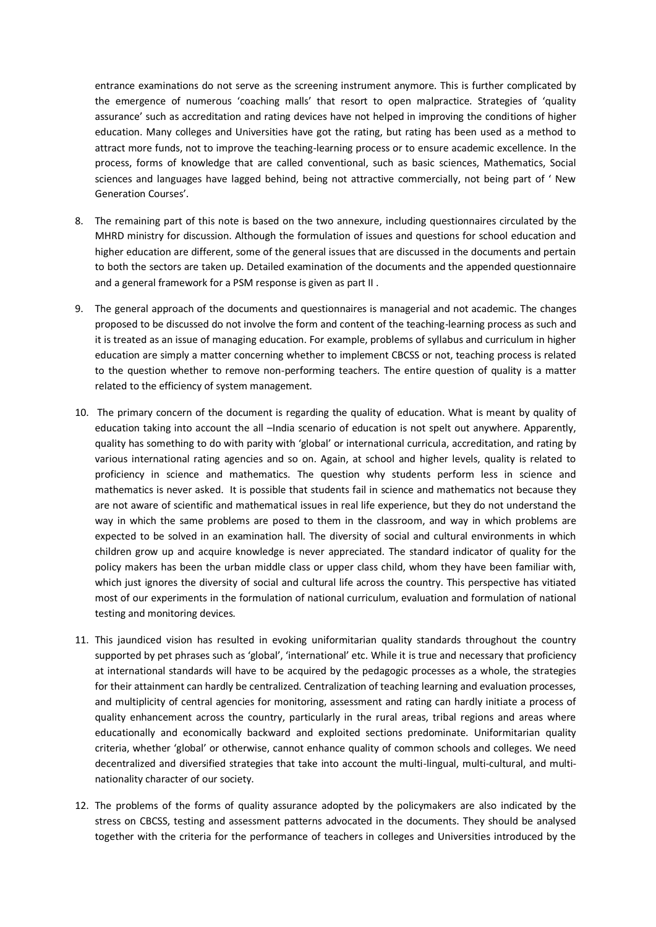entrance examinations do not serve as the screening instrument anymore. This is further complicated by the emergence of numerous 'coaching malls' that resort to open malpractice. Strategies of 'quality assurance' such as accreditation and rating devices have not helped in improving the conditions of higher education. Many colleges and Universities have got the rating, but rating has been used as a method to attract more funds, not to improve the teaching-learning process or to ensure academic excellence. In the process, forms of knowledge that are called conventional, such as basic sciences, Mathematics, Social sciences and languages have lagged behind, being not attractive commercially, not being part of ' New Generation Courses'.

- 8. The remaining part of this note is based on the two annexure, including questionnaires circulated by the MHRD ministry for discussion. Although the formulation of issues and questions for school education and higher education are different, some of the general issues that are discussed in the documents and pertain to both the sectors are taken up. Detailed examination of the documents and the appended questionnaire and a general framework for a PSM response is given as part II .
- 9. The general approach of the documents and questionnaires is managerial and not academic. The changes proposed to be discussed do not involve the form and content of the teaching-learning process as such and it is treated as an issue of managing education. For example, problems of syllabus and curriculum in higher education are simply a matter concerning whether to implement CBCSS or not, teaching process is related to the question whether to remove non-performing teachers. The entire question of quality is a matter related to the efficiency of system management.
- 10. The primary concern of the document is regarding the quality of education. What is meant by quality of education taking into account the all –India scenario of education is not spelt out anywhere. Apparently, quality has something to do with parity with 'global' or international curricula, accreditation, and rating by various international rating agencies and so on. Again, at school and higher levels, quality is related to proficiency in science and mathematics. The question why students perform less in science and mathematics is never asked. It is possible that students fail in science and mathematics not because they are not aware of scientific and mathematical issues in real life experience, but they do not understand the way in which the same problems are posed to them in the classroom, and way in which problems are expected to be solved in an examination hall. The diversity of social and cultural environments in which children grow up and acquire knowledge is never appreciated. The standard indicator of quality for the policy makers has been the urban middle class or upper class child, whom they have been familiar with, which just ignores the diversity of social and cultural life across the country. This perspective has vitiated most of our experiments in the formulation of national curriculum, evaluation and formulation of national testing and monitoring devices.
- 11. This jaundiced vision has resulted in evoking uniformitarian quality standards throughout the country supported by pet phrases such as 'global', 'international' etc. While it is true and necessary that proficiency at international standards will have to be acquired by the pedagogic processes as a whole, the strategies for their attainment can hardly be centralized. Centralization of teaching learning and evaluation processes, and multiplicity of central agencies for monitoring, assessment and rating can hardly initiate a process of quality enhancement across the country, particularly in the rural areas, tribal regions and areas where educationally and economically backward and exploited sections predominate. Uniformitarian quality criteria, whether 'global' or otherwise, cannot enhance quality of common schools and colleges. We need decentralized and diversified strategies that take into account the multi-lingual, multi-cultural, and multinationality character of our society.
- 12. The problems of the forms of quality assurance adopted by the policymakers are also indicated by the stress on CBCSS, testing and assessment patterns advocated in the documents. They should be analysed together with the criteria for the performance of teachers in colleges and Universities introduced by the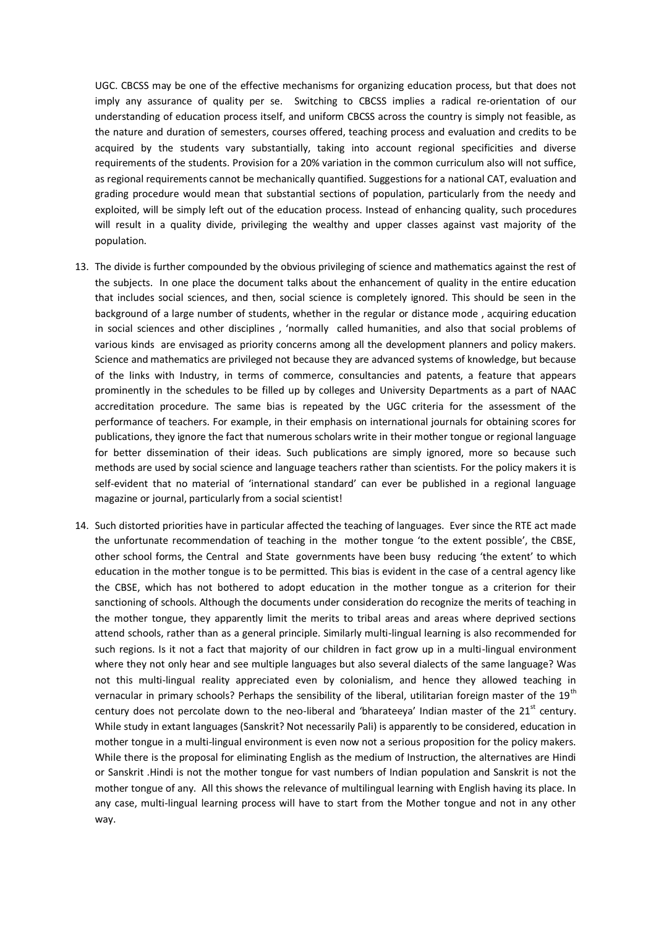UGC. CBCSS may be one of the effective mechanisms for organizing education process, but that does not imply any assurance of quality per se. Switching to CBCSS implies a radical re-orientation of our understanding of education process itself, and uniform CBCSS across the country is simply not feasible, as the nature and duration of semesters, courses offered, teaching process and evaluation and credits to be acquired by the students vary substantially, taking into account regional specificities and diverse requirements of the students. Provision for a 20% variation in the common curriculum also will not suffice, as regional requirements cannot be mechanically quantified. Suggestions for a national CAT, evaluation and grading procedure would mean that substantial sections of population, particularly from the needy and exploited, will be simply left out of the education process. Instead of enhancing quality, such procedures will result in a quality divide, privileging the wealthy and upper classes against vast majority of the population.

- 13. The divide is further compounded by the obvious privileging of science and mathematics against the rest of the subjects. In one place the document talks about the enhancement of quality in the entire education that includes social sciences, and then, social science is completely ignored. This should be seen in the background of a large number of students, whether in the regular or distance mode , acquiring education in social sciences and other disciplines , 'normally called humanities, and also that social problems of various kinds are envisaged as priority concerns among all the development planners and policy makers. Science and mathematics are privileged not because they are advanced systems of knowledge, but because of the links with Industry, in terms of commerce, consultancies and patents, a feature that appears prominently in the schedules to be filled up by colleges and University Departments as a part of NAAC accreditation procedure. The same bias is repeated by the UGC criteria for the assessment of the performance of teachers. For example, in their emphasis on international journals for obtaining scores for publications, they ignore the fact that numerous scholars write in their mother tongue or regional language for better dissemination of their ideas. Such publications are simply ignored, more so because such methods are used by social science and language teachers rather than scientists. For the policy makers it is self-evident that no material of 'international standard' can ever be published in a regional language magazine or journal, particularly from a social scientist!
- 14. Such distorted priorities have in particular affected the teaching of languages. Ever since the RTE act made the unfortunate recommendation of teaching in the mother tongue 'to the extent possible', the CBSE, other school forms, the Central and State governments have been busy reducing 'the extent' to which education in the mother tongue is to be permitted. This bias is evident in the case of a central agency like the CBSE, which has not bothered to adopt education in the mother tongue as a criterion for their sanctioning of schools. Although the documents under consideration do recognize the merits of teaching in the mother tongue, they apparently limit the merits to tribal areas and areas where deprived sections attend schools, rather than as a general principle. Similarly multi-lingual learning is also recommended for such regions. Is it not a fact that majority of our children in fact grow up in a multi-lingual environment where they not only hear and see multiple languages but also several dialects of the same language? Was not this multi-lingual reality appreciated even by colonialism, and hence they allowed teaching in vernacular in primary schools? Perhaps the sensibility of the liberal, utilitarian foreign master of the 19<sup>th</sup> century does not percolate down to the neo-liberal and 'bharateeya' Indian master of the  $21<sup>st</sup>$  century. While study in extant languages (Sanskrit? Not necessarily Pali) is apparently to be considered, education in mother tongue in a multi-lingual environment is even now not a serious proposition for the policy makers. While there is the proposal for eliminating English as the medium of Instruction, the alternatives are Hindi or Sanskrit .Hindi is not the mother tongue for vast numbers of Indian population and Sanskrit is not the mother tongue of any. All this shows the relevance of multilingual learning with English having its place. In any case, multi-lingual learning process will have to start from the Mother tongue and not in any other way.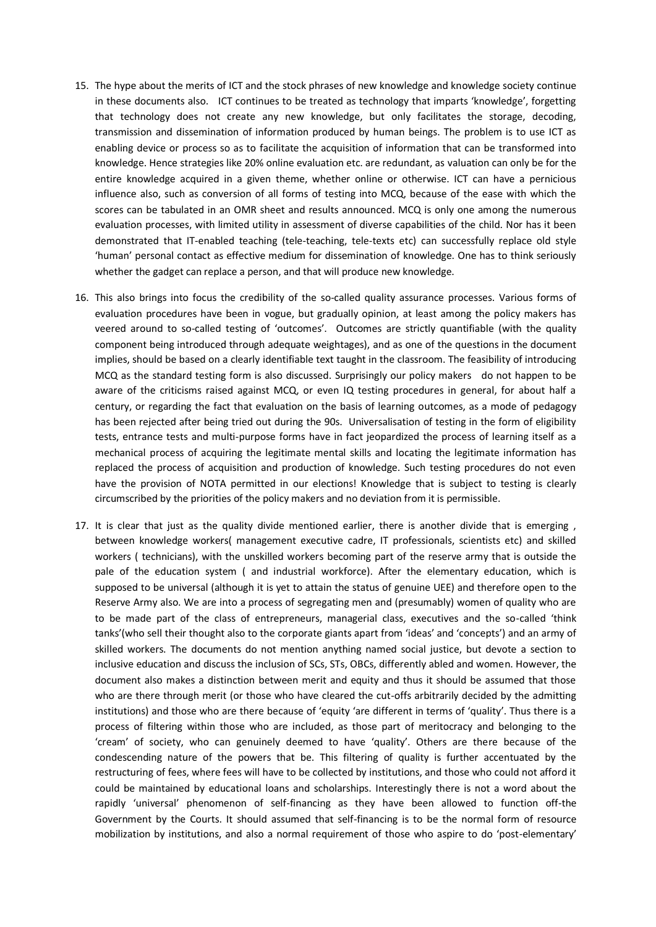- 15. The hype about the merits of ICT and the stock phrases of new knowledge and knowledge society continue in these documents also. ICT continues to be treated as technology that imparts 'knowledge', forgetting that technology does not create any new knowledge, but only facilitates the storage, decoding, transmission and dissemination of information produced by human beings. The problem is to use ICT as enabling device or process so as to facilitate the acquisition of information that can be transformed into knowledge. Hence strategies like 20% online evaluation etc. are redundant, as valuation can only be for the entire knowledge acquired in a given theme, whether online or otherwise. ICT can have a pernicious influence also, such as conversion of all forms of testing into MCQ, because of the ease with which the scores can be tabulated in an OMR sheet and results announced. MCQ is only one among the numerous evaluation processes, with limited utility in assessment of diverse capabilities of the child. Nor has it been demonstrated that IT-enabled teaching (tele-teaching, tele-texts etc) can successfully replace old style 'human' personal contact as effective medium for dissemination of knowledge. One has to think seriously whether the gadget can replace a person, and that will produce new knowledge.
- 16. This also brings into focus the credibility of the so-called quality assurance processes. Various forms of evaluation procedures have been in vogue, but gradually opinion, at least among the policy makers has veered around to so-called testing of 'outcomes'. Outcomes are strictly quantifiable (with the quality component being introduced through adequate weightages), and as one of the questions in the document implies, should be based on a clearly identifiable text taught in the classroom. The feasibility of introducing MCQ as the standard testing form is also discussed. Surprisingly our policy makers do not happen to be aware of the criticisms raised against MCQ, or even IQ testing procedures in general, for about half a century, or regarding the fact that evaluation on the basis of learning outcomes, as a mode of pedagogy has been rejected after being tried out during the 90s. Universalisation of testing in the form of eligibility tests, entrance tests and multi-purpose forms have in fact jeopardized the process of learning itself as a mechanical process of acquiring the legitimate mental skills and locating the legitimate information has replaced the process of acquisition and production of knowledge. Such testing procedures do not even have the provision of NOTA permitted in our elections! Knowledge that is subject to testing is clearly circumscribed by the priorities of the policy makers and no deviation from it is permissible.
- 17. It is clear that just as the quality divide mentioned earlier, there is another divide that is emerging , between knowledge workers( management executive cadre, IT professionals, scientists etc) and skilled workers ( technicians), with the unskilled workers becoming part of the reserve army that is outside the pale of the education system ( and industrial workforce). After the elementary education, which is supposed to be universal (although it is yet to attain the status of genuine UEE) and therefore open to the Reserve Army also. We are into a process of segregating men and (presumably) women of quality who are to be made part of the class of entrepreneurs, managerial class, executives and the so-called 'think tanks'(who sell their thought also to the corporate giants apart from 'ideas' and 'concepts') and an army of skilled workers. The documents do not mention anything named social justice, but devote a section to inclusive education and discuss the inclusion of SCs, STs, OBCs, differently abled and women. However, the document also makes a distinction between merit and equity and thus it should be assumed that those who are there through merit (or those who have cleared the cut-offs arbitrarily decided by the admitting institutions) and those who are there because of 'equity 'are different in terms of 'quality'. Thus there is a process of filtering within those who are included, as those part of meritocracy and belonging to the 'cream' of society, who can genuinely deemed to have 'quality'. Others are there because of the condescending nature of the powers that be. This filtering of quality is further accentuated by the restructuring of fees, where fees will have to be collected by institutions, and those who could not afford it could be maintained by educational loans and scholarships. Interestingly there is not a word about the rapidly 'universal' phenomenon of self-financing as they have been allowed to function off-the Government by the Courts. It should assumed that self-financing is to be the normal form of resource mobilization by institutions, and also a normal requirement of those who aspire to do 'post-elementary'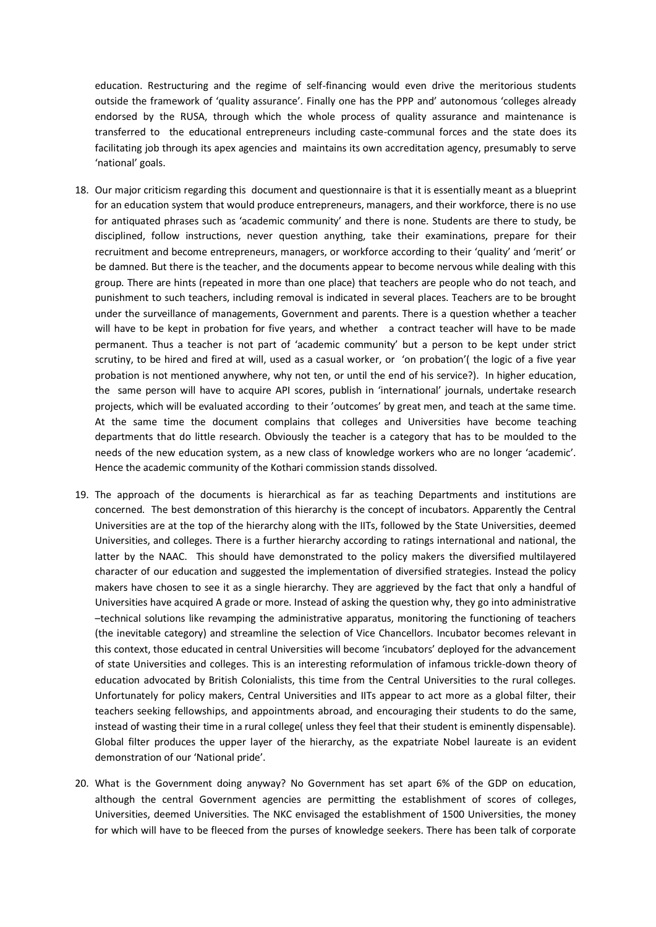education. Restructuring and the regime of self-financing would even drive the meritorious students outside the framework of 'quality assurance'. Finally one has the PPP and' autonomous 'colleges already endorsed by the RUSA, through which the whole process of quality assurance and maintenance is transferred to the educational entrepreneurs including caste-communal forces and the state does its facilitating job through its apex agencies and maintains its own accreditation agency, presumably to serve 'national' goals.

- 18. Our major criticism regarding this document and questionnaire is that it is essentially meant as a blueprint for an education system that would produce entrepreneurs, managers, and their workforce, there is no use for antiquated phrases such as 'academic community' and there is none. Students are there to study, be disciplined, follow instructions, never question anything, take their examinations, prepare for their recruitment and become entrepreneurs, managers, or workforce according to their 'quality' and 'merit' or be damned. But there is the teacher, and the documents appear to become nervous while dealing with this group. There are hints (repeated in more than one place) that teachers are people who do not teach, and punishment to such teachers, including removal is indicated in several places. Teachers are to be brought under the surveillance of managements, Government and parents. There is a question whether a teacher will have to be kept in probation for five years, and whether a contract teacher will have to be made permanent. Thus a teacher is not part of 'academic community' but a person to be kept under strict scrutiny, to be hired and fired at will, used as a casual worker, or 'on probation'( the logic of a five year probation is not mentioned anywhere, why not ten, or until the end of his service?). In higher education, the same person will have to acquire API scores, publish in 'international' journals, undertake research projects, which will be evaluated according to their 'outcomes' by great men, and teach at the same time. At the same time the document complains that colleges and Universities have become teaching departments that do little research. Obviously the teacher is a category that has to be moulded to the needs of the new education system, as a new class of knowledge workers who are no longer 'academic'. Hence the academic community of the Kothari commission stands dissolved.
- 19. The approach of the documents is hierarchical as far as teaching Departments and institutions are concerned. The best demonstration of this hierarchy is the concept of incubators. Apparently the Central Universities are at the top of the hierarchy along with the IITs, followed by the State Universities, deemed Universities, and colleges. There is a further hierarchy according to ratings international and national, the latter by the NAAC. This should have demonstrated to the policy makers the diversified multilayered character of our education and suggested the implementation of diversified strategies. Instead the policy makers have chosen to see it as a single hierarchy. They are aggrieved by the fact that only a handful of Universities have acquired A grade or more. Instead of asking the question why, they go into administrative –technical solutions like revamping the administrative apparatus, monitoring the functioning of teachers (the inevitable category) and streamline the selection of Vice Chancellors. Incubator becomes relevant in this context, those educated in central Universities will become 'incubators' deployed for the advancement of state Universities and colleges. This is an interesting reformulation of infamous trickle-down theory of education advocated by British Colonialists, this time from the Central Universities to the rural colleges. Unfortunately for policy makers, Central Universities and IITs appear to act more as a global filter, their teachers seeking fellowships, and appointments abroad, and encouraging their students to do the same, instead of wasting their time in a rural college( unless they feel that their student is eminently dispensable). Global filter produces the upper layer of the hierarchy, as the expatriate Nobel laureate is an evident demonstration of our 'National pride'.
- 20. What is the Government doing anyway? No Government has set apart 6% of the GDP on education, although the central Government agencies are permitting the establishment of scores of colleges, Universities, deemed Universities. The NKC envisaged the establishment of 1500 Universities, the money for which will have to be fleeced from the purses of knowledge seekers. There has been talk of corporate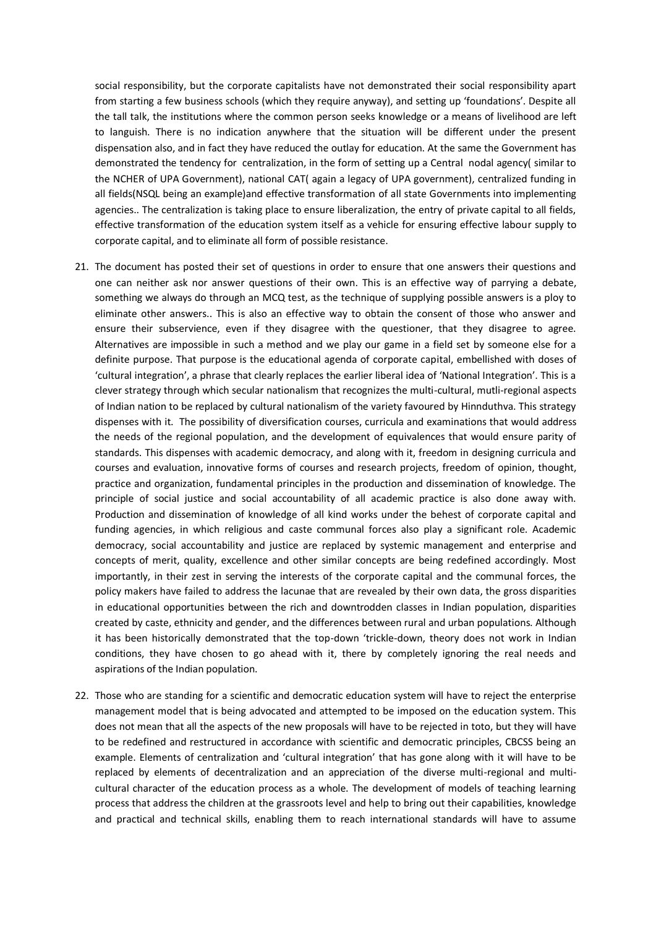social responsibility, but the corporate capitalists have not demonstrated their social responsibility apart from starting a few business schools (which they require anyway), and setting up 'foundations'. Despite all the tall talk, the institutions where the common person seeks knowledge or a means of livelihood are left to languish. There is no indication anywhere that the situation will be different under the present dispensation also, and in fact they have reduced the outlay for education. At the same the Government has demonstrated the tendency for centralization, in the form of setting up a Central nodal agency( similar to the NCHER of UPA Government), national CAT( again a legacy of UPA government), centralized funding in all fields(NSQL being an example)and effective transformation of all state Governments into implementing agencies.. The centralization is taking place to ensure liberalization, the entry of private capital to all fields, effective transformation of the education system itself as a vehicle for ensuring effective labour supply to corporate capital, and to eliminate all form of possible resistance.

- 21. The document has posted their set of questions in order to ensure that one answers their questions and one can neither ask nor answer questions of their own. This is an effective way of parrying a debate, something we always do through an MCQ test, as the technique of supplying possible answers is a ploy to eliminate other answers.. This is also an effective way to obtain the consent of those who answer and ensure their subservience, even if they disagree with the questioner, that they disagree to agree. Alternatives are impossible in such a method and we play our game in a field set by someone else for a definite purpose. That purpose is the educational agenda of corporate capital, embellished with doses of 'cultural integration', a phrase that clearly replaces the earlier liberal idea of 'National Integration'. This is a clever strategy through which secular nationalism that recognizes the multi-cultural, mutli-regional aspects of Indian nation to be replaced by cultural nationalism of the variety favoured by Hinnduthva. This strategy dispenses with it. The possibility of diversification courses, curricula and examinations that would address the needs of the regional population, and the development of equivalences that would ensure parity of standards. This dispenses with academic democracy, and along with it, freedom in designing curricula and courses and evaluation, innovative forms of courses and research projects, freedom of opinion, thought, practice and organization, fundamental principles in the production and dissemination of knowledge. The principle of social justice and social accountability of all academic practice is also done away with. Production and dissemination of knowledge of all kind works under the behest of corporate capital and funding agencies, in which religious and caste communal forces also play a significant role. Academic democracy, social accountability and justice are replaced by systemic management and enterprise and concepts of merit, quality, excellence and other similar concepts are being redefined accordingly. Most importantly, in their zest in serving the interests of the corporate capital and the communal forces, the policy makers have failed to address the lacunae that are revealed by their own data, the gross disparities in educational opportunities between the rich and downtrodden classes in Indian population, disparities created by caste, ethnicity and gender, and the differences between rural and urban populations. Although it has been historically demonstrated that the top-down 'trickle-down, theory does not work in Indian conditions, they have chosen to go ahead with it, there by completely ignoring the real needs and aspirations of the Indian population.
- 22. Those who are standing for a scientific and democratic education system will have to reject the enterprise management model that is being advocated and attempted to be imposed on the education system. This does not mean that all the aspects of the new proposals will have to be rejected in toto, but they will have to be redefined and restructured in accordance with scientific and democratic principles, CBCSS being an example. Elements of centralization and 'cultural integration' that has gone along with it will have to be replaced by elements of decentralization and an appreciation of the diverse multi-regional and multicultural character of the education process as a whole. The development of models of teaching learning process that address the children at the grassroots level and help to bring out their capabilities, knowledge and practical and technical skills, enabling them to reach international standards will have to assume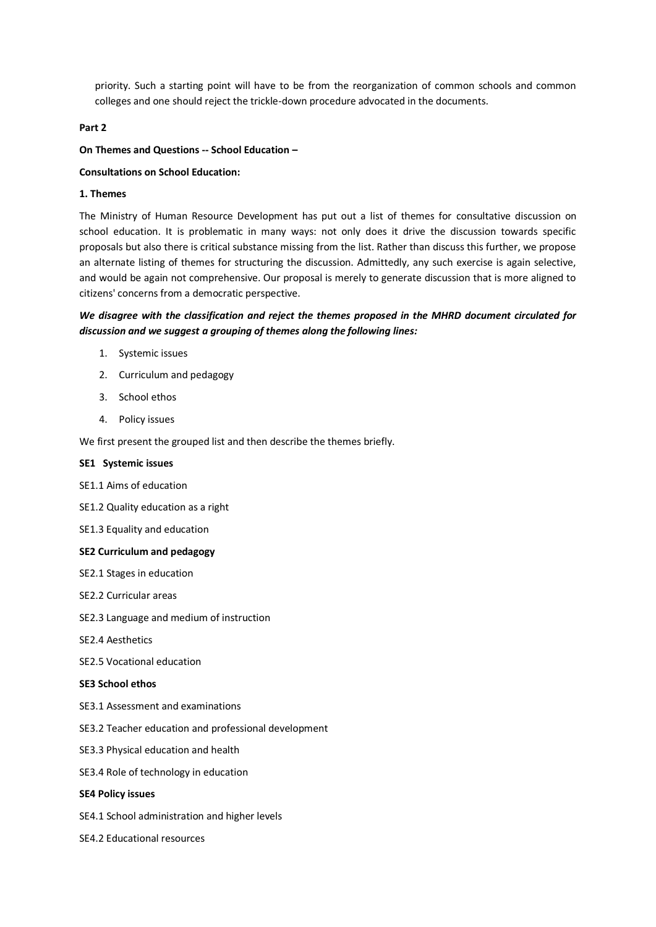priority. Such a starting point will have to be from the reorganization of common schools and common colleges and one should reject the trickle-down procedure advocated in the documents.

#### **Part 2**

#### **On Themes and Questions -- School Education –**

#### **Consultations on School Education:**

#### **1. Themes**

The Ministry of Human Resource Development has put out a list of themes for consultative discussion on school education. It is problematic in many ways: not only does it drive the discussion towards specific proposals but also there is critical substance missing from the list. Rather than discuss this further, we propose an alternate listing of themes for structuring the discussion. Admittedly, any such exercise is again selective, and would be again not comprehensive. Our proposal is merely to generate discussion that is more aligned to citizens' concerns from a democratic perspective.

# *We disagree with the classification and reject the themes proposed in the MHRD document circulated for discussion and we suggest a grouping of themes along the following lines:*

- 1. Systemic issues
- 2. Curriculum and pedagogy
- 3. School ethos
- 4. Policy issues

We first present the grouped list and then describe the themes briefly.

## **SE1 Systemic issues**

- SE1.1 Aims of education
- SE1.2 Quality education as a right
- SE1.3 Equality and education

#### **SE2 Curriculum and pedagogy**

- SE2.1 Stages in education
- SE2.2 Curricular areas
- SE2.3 Language and medium of instruction
- SE2.4 Aesthetics
- SE2.5 Vocational education

## **SE3 School ethos**

- SE3.1 Assessment and examinations
- SE3.2 Teacher education and professional development
- SE3.3 Physical education and health
- SE3.4 Role of technology in education

#### **SE4 Policy issues**

- SE4.1 School administration and higher levels
- SE4.2 Educational resources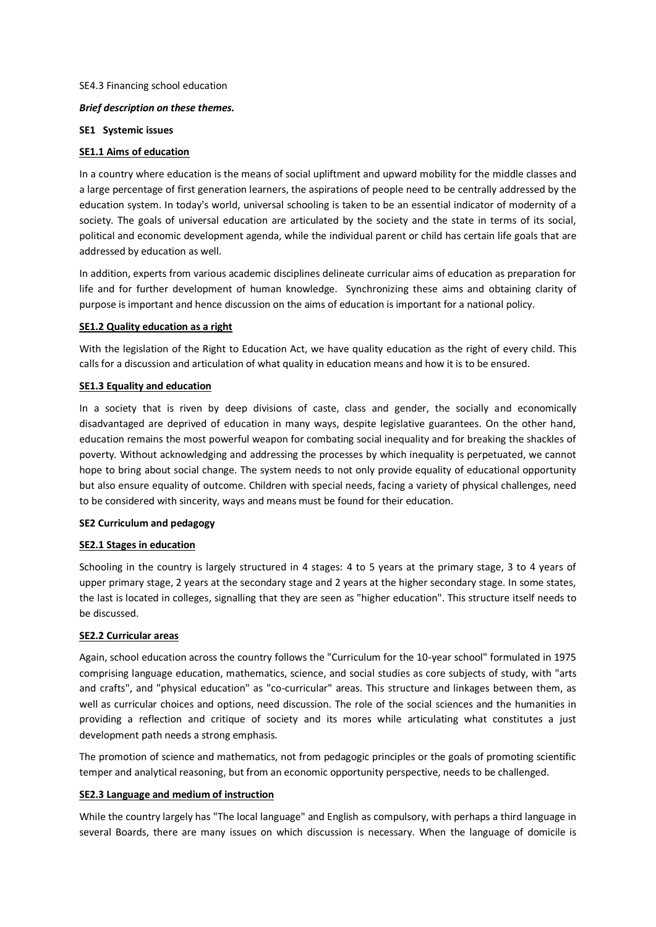## SE4.3 Financing school education

## *Brief description on these themes.*

#### **SE1 Systemic issues**

## **SE1.1 Aims of education**

In a country where education is the means of social upliftment and upward mobility for the middle classes and a large percentage of first generation learners, the aspirations of people need to be centrally addressed by the education system. In today's world, universal schooling is taken to be an essential indicator of modernity of a society. The goals of universal education are articulated by the society and the state in terms of its social, political and economic development agenda, while the individual parent or child has certain life goals that are addressed by education as well.

In addition, experts from various academic disciplines delineate curricular aims of education as preparation for life and for further development of human knowledge. Synchronizing these aims and obtaining clarity of purpose is important and hence discussion on the aims of education is important for a national policy.

#### **SE1.2 Quality education as a right**

With the legislation of the Right to Education Act, we have quality education as the right of every child. This calls for a discussion and articulation of what quality in education means and how it is to be ensured.

#### **SE1.3 Equality and education**

In a society that is riven by deep divisions of caste, class and gender, the socially and economically disadvantaged are deprived of education in many ways, despite legislative guarantees. On the other hand, education remains the most powerful weapon for combating social inequality and for breaking the shackles of poverty. Without acknowledging and addressing the processes by which inequality is perpetuated, we cannot hope to bring about social change. The system needs to not only provide equality of educational opportunity but also ensure equality of outcome. Children with special needs, facing a variety of physical challenges, need to be considered with sincerity, ways and means must be found for their education.

#### **SE2 Curriculum and pedagogy**

## **SE2.1 Stages in education**

Schooling in the country is largely structured in 4 stages: 4 to 5 years at the primary stage, 3 to 4 years of upper primary stage, 2 years at the secondary stage and 2 years at the higher secondary stage. In some states, the last is located in colleges, signalling that they are seen as "higher education". This structure itself needs to be discussed.

## **SE2.2 Curricular areas**

Again, school education across the country follows the "Curriculum for the 10-year school" formulated in 1975 comprising language education, mathematics, science, and social studies as core subjects of study, with "arts and crafts", and "physical education" as "co-curricular" areas. This structure and linkages between them, as well as curricular choices and options, need discussion. The role of the social sciences and the humanities in providing a reflection and critique of society and its mores while articulating what constitutes a just development path needs a strong emphasis.

The promotion of science and mathematics, not from pedagogic principles or the goals of promoting scientific temper and analytical reasoning, but from an economic opportunity perspective, needs to be challenged.

## **SE2.3 Language and medium of instruction**

While the country largely has "The local language" and English as compulsory, with perhaps a third language in several Boards, there are many issues on which discussion is necessary. When the language of domicile is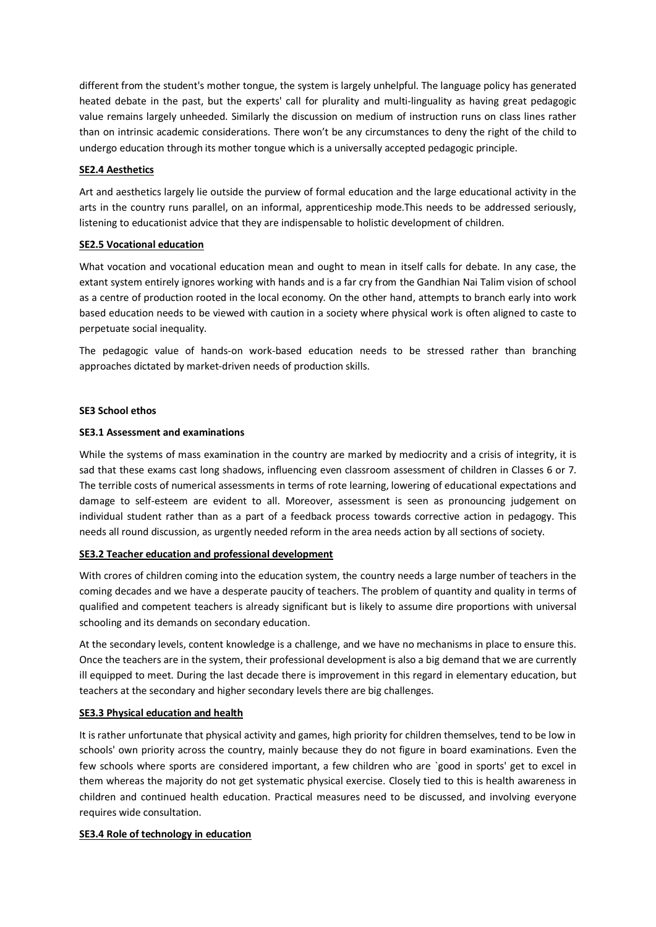different from the student's mother tongue, the system is largely unhelpful. The language policy has generated heated debate in the past, but the experts' call for plurality and multi-linguality as having great pedagogic value remains largely unheeded. Similarly the discussion on medium of instruction runs on class lines rather than on intrinsic academic considerations. There won't be any circumstances to deny the right of the child to undergo education through its mother tongue which is a universally accepted pedagogic principle.

## **SE2.4 Aesthetics**

Art and aesthetics largely lie outside the purview of formal education and the large educational activity in the arts in the country runs parallel, on an informal, apprenticeship mode.This needs to be addressed seriously, listening to educationist advice that they are indispensable to holistic development of children.

## **SE2.5 Vocational education**

What vocation and vocational education mean and ought to mean in itself calls for debate. In any case, the extant system entirely ignores working with hands and is a far cry from the Gandhian Nai Talim vision of school as a centre of production rooted in the local economy. On the other hand, attempts to branch early into work based education needs to be viewed with caution in a society where physical work is often aligned to caste to perpetuate social inequality.

The pedagogic value of hands-on work-based education needs to be stressed rather than branching approaches dictated by market-driven needs of production skills.

## **SE3 School ethos**

## **SE3.1 Assessment and examinations**

While the systems of mass examination in the country are marked by mediocrity and a crisis of integrity, it is sad that these exams cast long shadows, influencing even classroom assessment of children in Classes 6 or 7. The terrible costs of numerical assessments in terms of rote learning, lowering of educational expectations and damage to self-esteem are evident to all. Moreover, assessment is seen as pronouncing judgement on individual student rather than as a part of a feedback process towards corrective action in pedagogy. This needs all round discussion, as urgently needed reform in the area needs action by all sections of society.

# **SE3.2 Teacher education and professional development**

With crores of children coming into the education system, the country needs a large number of teachers in the coming decades and we have a desperate paucity of teachers. The problem of quantity and quality in terms of qualified and competent teachers is already significant but is likely to assume dire proportions with universal schooling and its demands on secondary education.

At the secondary levels, content knowledge is a challenge, and we have no mechanisms in place to ensure this. Once the teachers are in the system, their professional development is also a big demand that we are currently ill equipped to meet. During the last decade there is improvement in this regard in elementary education, but teachers at the secondary and higher secondary levels there are big challenges.

## **SE3.3 Physical education and health**

It is rather unfortunate that physical activity and games, high priority for children themselves, tend to be low in schools' own priority across the country, mainly because they do not figure in board examinations. Even the few schools where sports are considered important, a few children who are `good in sports' get to excel in them whereas the majority do not get systematic physical exercise. Closely tied to this is health awareness in children and continued health education. Practical measures need to be discussed, and involving everyone requires wide consultation.

## **SE3.4 Role of technology in education**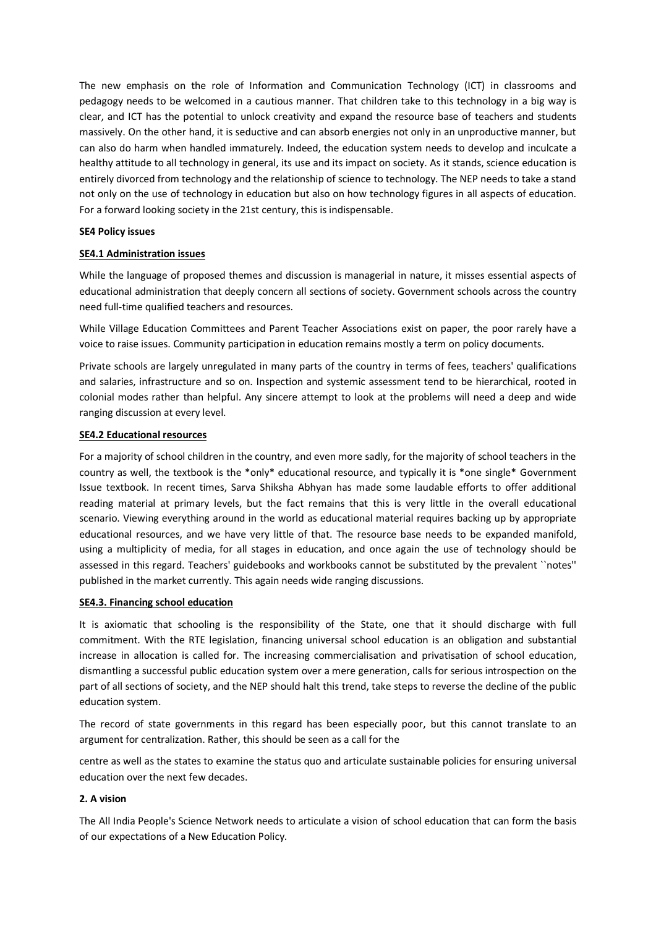The new emphasis on the role of Information and Communication Technology (ICT) in classrooms and pedagogy needs to be welcomed in a cautious manner. That children take to this technology in a big way is clear, and ICT has the potential to unlock creativity and expand the resource base of teachers and students massively. On the other hand, it is seductive and can absorb energies not only in an unproductive manner, but can also do harm when handled immaturely. Indeed, the education system needs to develop and inculcate a healthy attitude to all technology in general, its use and its impact on society. As it stands, science education is entirely divorced from technology and the relationship of science to technology. The NEP needs to take a stand not only on the use of technology in education but also on how technology figures in all aspects of education. For a forward looking society in the 21st century, this is indispensable.

#### **SE4 Policy issues**

## **SE4.1 Administration issues**

While the language of proposed themes and discussion is managerial in nature, it misses essential aspects of educational administration that deeply concern all sections of society. Government schools across the country need full-time qualified teachers and resources.

While Village Education Committees and Parent Teacher Associations exist on paper, the poor rarely have a voice to raise issues. Community participation in education remains mostly a term on policy documents.

Private schools are largely unregulated in many parts of the country in terms of fees, teachers' qualifications and salaries, infrastructure and so on. Inspection and systemic assessment tend to be hierarchical, rooted in colonial modes rather than helpful. Any sincere attempt to look at the problems will need a deep and wide ranging discussion at every level.

#### **SE4.2 Educational resources**

For a majority of school children in the country, and even more sadly, for the majority of school teachers in the country as well, the textbook is the \*only\* educational resource, and typically it is \*one single\* Government Issue textbook. In recent times, Sarva Shiksha Abhyan has made some laudable efforts to offer additional reading material at primary levels, but the fact remains that this is very little in the overall educational scenario. Viewing everything around in the world as educational material requires backing up by appropriate educational resources, and we have very little of that. The resource base needs to be expanded manifold, using a multiplicity of media, for all stages in education, and once again the use of technology should be assessed in this regard. Teachers' guidebooks and workbooks cannot be substituted by the prevalent ``notes'' published in the market currently. This again needs wide ranging discussions.

## **SE4.3. Financing school education**

It is axiomatic that schooling is the responsibility of the State, one that it should discharge with full commitment. With the RTE legislation, financing universal school education is an obligation and substantial increase in allocation is called for. The increasing commercialisation and privatisation of school education, dismantling a successful public education system over a mere generation, calls for serious introspection on the part of all sections of society, and the NEP should halt this trend, take steps to reverse the decline of the public education system.

The record of state governments in this regard has been especially poor, but this cannot translate to an argument for centralization. Rather, this should be seen as a call for the

centre as well as the states to examine the status quo and articulate sustainable policies for ensuring universal education over the next few decades.

## **2. A vision**

The All India People's Science Network needs to articulate a vision of school education that can form the basis of our expectations of a New Education Policy.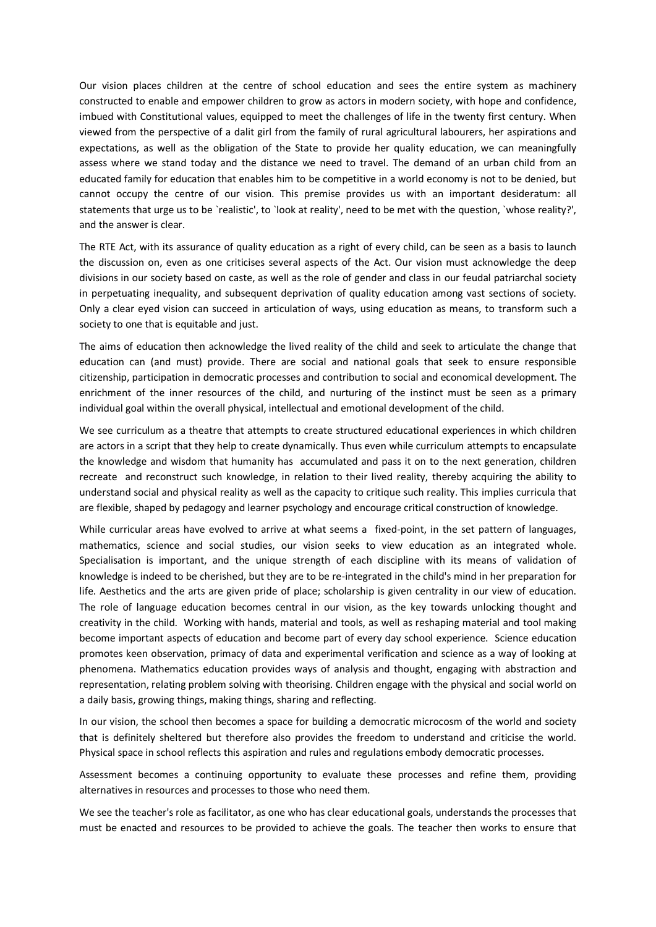Our vision places children at the centre of school education and sees the entire system as machinery constructed to enable and empower children to grow as actors in modern society, with hope and confidence, imbued with Constitutional values, equipped to meet the challenges of life in the twenty first century. When viewed from the perspective of a dalit girl from the family of rural agricultural labourers, her aspirations and expectations, as well as the obligation of the State to provide her quality education, we can meaningfully assess where we stand today and the distance we need to travel. The demand of an urban child from an educated family for education that enables him to be competitive in a world economy is not to be denied, but cannot occupy the centre of our vision. This premise provides us with an important desideratum: all statements that urge us to be `realistic', to `look at reality', need to be met with the question, `whose reality?', and the answer is clear.

The RTE Act, with its assurance of quality education as a right of every child, can be seen as a basis to launch the discussion on, even as one criticises several aspects of the Act. Our vision must acknowledge the deep divisions in our society based on caste, as well as the role of gender and class in our feudal patriarchal society in perpetuating inequality, and subsequent deprivation of quality education among vast sections of society. Only a clear eyed vision can succeed in articulation of ways, using education as means, to transform such a society to one that is equitable and just.

The aims of education then acknowledge the lived reality of the child and seek to articulate the change that education can (and must) provide. There are social and national goals that seek to ensure responsible citizenship, participation in democratic processes and contribution to social and economical development. The enrichment of the inner resources of the child, and nurturing of the instinct must be seen as a primary individual goal within the overall physical, intellectual and emotional development of the child.

We see curriculum as a theatre that attempts to create structured educational experiences in which children are actors in a script that they help to create dynamically. Thus even while curriculum attempts to encapsulate the knowledge and wisdom that humanity has accumulated and pass it on to the next generation, children recreate and reconstruct such knowledge, in relation to their lived reality, thereby acquiring the ability to understand social and physical reality as well as the capacity to critique such reality. This implies curricula that are flexible, shaped by pedagogy and learner psychology and encourage critical construction of knowledge.

While curricular areas have evolved to arrive at what seems a fixed-point, in the set pattern of languages, mathematics, science and social studies, our vision seeks to view education as an integrated whole. Specialisation is important, and the unique strength of each discipline with its means of validation of knowledge is indeed to be cherished, but they are to be re-integrated in the child's mind in her preparation for life. Aesthetics and the arts are given pride of place; scholarship is given centrality in our view of education. The role of language education becomes central in our vision, as the key towards unlocking thought and creativity in the child. Working with hands, material and tools, as well as reshaping material and tool making become important aspects of education and become part of every day school experience. Science education promotes keen observation, primacy of data and experimental verification and science as a way of looking at phenomena. Mathematics education provides ways of analysis and thought, engaging with abstraction and representation, relating problem solving with theorising. Children engage with the physical and social world on a daily basis, growing things, making things, sharing and reflecting.

In our vision, the school then becomes a space for building a democratic microcosm of the world and society that is definitely sheltered but therefore also provides the freedom to understand and criticise the world. Physical space in school reflects this aspiration and rules and regulations embody democratic processes.

Assessment becomes a continuing opportunity to evaluate these processes and refine them, providing alternatives in resources and processes to those who need them.

We see the teacher's role as facilitator, as one who has clear educational goals, understands the processes that must be enacted and resources to be provided to achieve the goals. The teacher then works to ensure that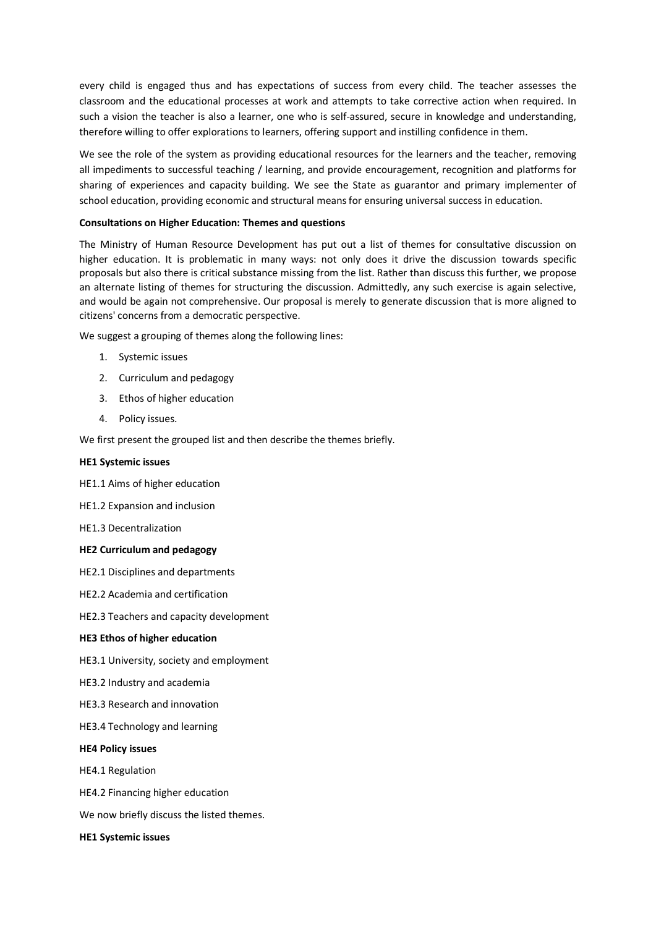every child is engaged thus and has expectations of success from every child. The teacher assesses the classroom and the educational processes at work and attempts to take corrective action when required. In such a vision the teacher is also a learner, one who is self-assured, secure in knowledge and understanding, therefore willing to offer explorations to learners, offering support and instilling confidence in them.

We see the role of the system as providing educational resources for the learners and the teacher, removing all impediments to successful teaching / learning, and provide encouragement, recognition and platforms for sharing of experiences and capacity building. We see the State as guarantor and primary implementer of school education, providing economic and structural means for ensuring universal success in education.

#### **Consultations on Higher Education: Themes and questions**

The Ministry of Human Resource Development has put out a list of themes for consultative discussion on higher education. It is problematic in many ways: not only does it drive the discussion towards specific proposals but also there is critical substance missing from the list. Rather than discuss this further, we propose an alternate listing of themes for structuring the discussion. Admittedly, any such exercise is again selective, and would be again not comprehensive. Our proposal is merely to generate discussion that is more aligned to citizens' concerns from a democratic perspective.

We suggest a grouping of themes along the following lines:

- 1. Systemic issues
- 2. Curriculum and pedagogy
- 3. Ethos of higher education
- 4. Policy issues.

We first present the grouped list and then describe the themes briefly.

#### **HE1 Systemic issues**

- HE1.1 Aims of higher education
- HE1.2 Expansion and inclusion
- HE1.3 Decentralization

#### **HE2 Curriculum and pedagogy**

- HE2.1 Disciplines and departments
- HE2.2 Academia and certification
- HE2.3 Teachers and capacity development

#### **HE3 Ethos of higher education**

- HE3.1 University, society and employment
- HE3.2 Industry and academia
- HE3.3 Research and innovation
- HE3.4 Technology and learning

#### **HE4 Policy issues**

HE4.1 Regulation

- HE4.2 Financing higher education
- We now briefly discuss the listed themes.

#### **HE1 Systemic issues**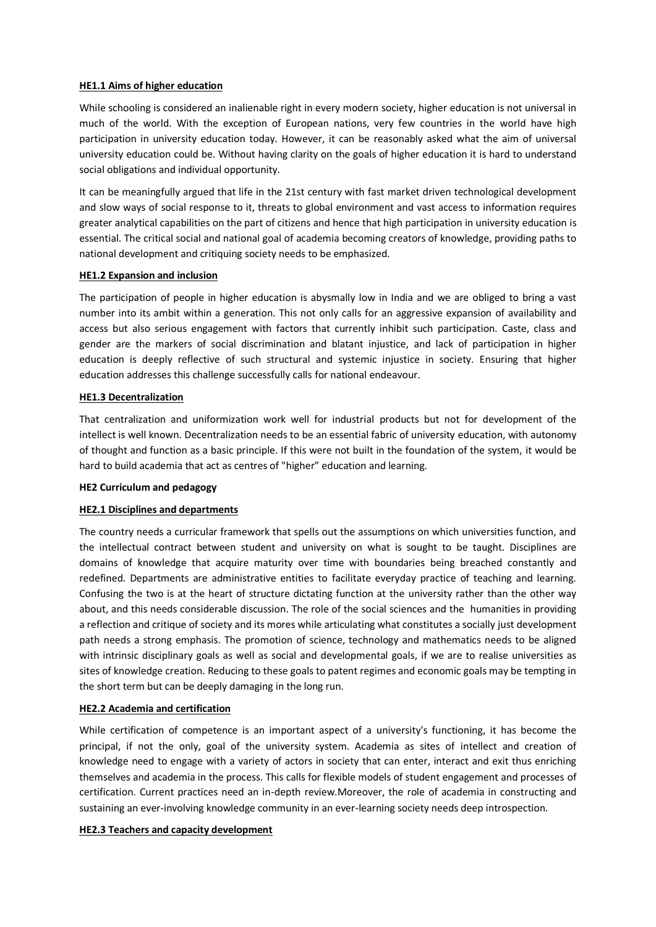## **HE1.1 Aims of higher education**

While schooling is considered an inalienable right in every modern society, higher education is not universal in much of the world. With the exception of European nations, very few countries in the world have high participation in university education today. However, it can be reasonably asked what the aim of universal university education could be. Without having clarity on the goals of higher education it is hard to understand social obligations and individual opportunity.

It can be meaningfully argued that life in the 21st century with fast market driven technological development and slow ways of social response to it, threats to global environment and vast access to information requires greater analytical capabilities on the part of citizens and hence that high participation in university education is essential. The critical social and national goal of academia becoming creators of knowledge, providing paths to national development and critiquing society needs to be emphasized.

#### **HE1.2 Expansion and inclusion**

The participation of people in higher education is abysmally low in India and we are obliged to bring a vast number into its ambit within a generation. This not only calls for an aggressive expansion of availability and access but also serious engagement with factors that currently inhibit such participation. Caste, class and gender are the markers of social discrimination and blatant injustice, and lack of participation in higher education is deeply reflective of such structural and systemic injustice in society. Ensuring that higher education addresses this challenge successfully calls for national endeavour.

#### **HE1.3 Decentralization**

That centralization and uniformization work well for industrial products but not for development of the intellect is well known. Decentralization needs to be an essential fabric of university education, with autonomy of thought and function as a basic principle. If this were not built in the foundation of the system, it would be hard to build academia that act as centres of "higher" education and learning.

#### **HE2 Curriculum and pedagogy**

## **HE2.1 Disciplines and departments**

The country needs a curricular framework that spells out the assumptions on which universities function, and the intellectual contract between student and university on what is sought to be taught. Disciplines are domains of knowledge that acquire maturity over time with boundaries being breached constantly and redefined. Departments are administrative entities to facilitate everyday practice of teaching and learning. Confusing the two is at the heart of structure dictating function at the university rather than the other way about, and this needs considerable discussion. The role of the social sciences and the humanities in providing a reflection and critique of society and its mores while articulating what constitutes a socially just development path needs a strong emphasis. The promotion of science, technology and mathematics needs to be aligned with intrinsic disciplinary goals as well as social and developmental goals, if we are to realise universities as sites of knowledge creation. Reducing to these goals to patent regimes and economic goals may be tempting in the short term but can be deeply damaging in the long run.

## **HE2.2 Academia and certification**

While certification of competence is an important aspect of a university's functioning, it has become the principal, if not the only, goal of the university system. Academia as sites of intellect and creation of knowledge need to engage with a variety of actors in society that can enter, interact and exit thus enriching themselves and academia in the process. This calls for flexible models of student engagement and processes of certification. Current practices need an in-depth review.Moreover, the role of academia in constructing and sustaining an ever-involving knowledge community in an ever-learning society needs deep introspection.

## **HE2.3 Teachers and capacity development**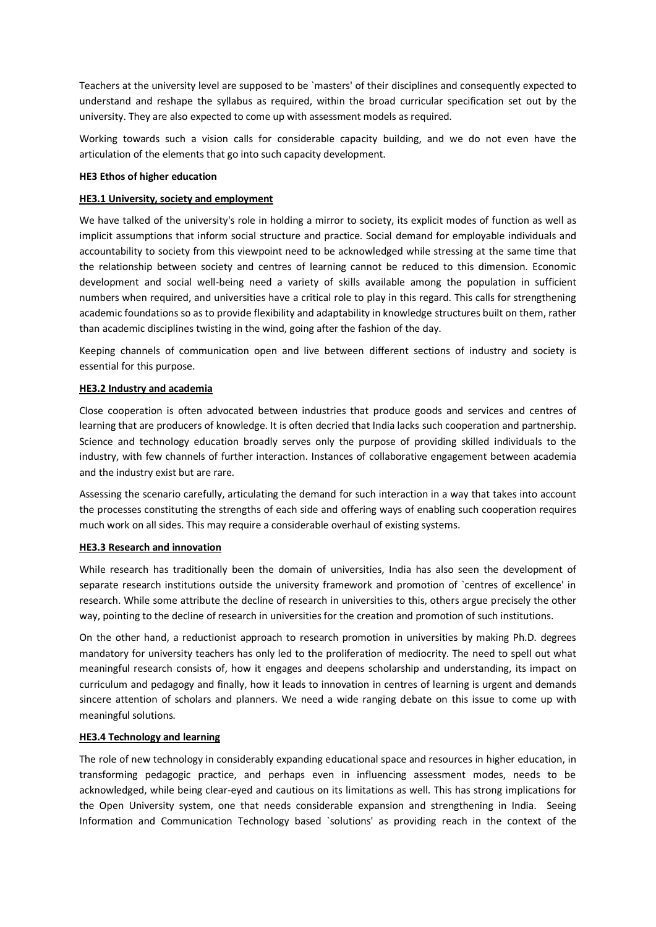Teachers at the university level are supposed to be `masters' of their disciplines and consequently expected to understand and reshape the syllabus as required, within the broad curricular specification set out by the university. They are also expected to come up with assessment models as required.

Working towards such a vision calls for considerable capacity building, and we do not even have the articulation of the elements that go into such capacity development.

## **HE3 Ethos of higher education**

## **HE3.1 University, society and employment**

We have talked of the university's role in holding a mirror to society, its explicit modes of function as well as implicit assumptions that inform social structure and practice. Social demand for employable individuals and accountability to society from this viewpoint need to be acknowledged while stressing at the same time that the relationship between society and centres of learning cannot be reduced to this dimension. Economic development and social well-being need a variety of skills available among the population in sufficient numbers when required, and universities have a critical role to play in this regard. This calls for strengthening academic foundations so as to provide flexibility and adaptability in knowledge structures built on them, rather than academic disciplines twisting in the wind, going after the fashion of the day.

Keeping channels of communication open and live between different sections of industry and society is essential for this purpose.

#### **HE3.2 Industry and academia**

Close cooperation is often advocated between industries that produce goods and services and centres of learning that are producers of knowledge. It is often decried that India lacks such cooperation and partnership. Science and technology education broadly serves only the purpose of providing skilled individuals to the industry, with few channels of further interaction. Instances of collaborative engagement between academia and the industry exist but are rare.

Assessing the scenario carefully, articulating the demand for such interaction in a way that takes into account the processes constituting the strengths of each side and offering ways of enabling such cooperation requires much work on all sides. This may require a considerable overhaul of existing systems.

## **HE3.3 Research and innovation**

While research has traditionally been the domain of universities, India has also seen the development of separate research institutions outside the university framework and promotion of `centres of excellence' in research. While some attribute the decline of research in universities to this, others argue precisely the other way, pointing to the decline of research in universities for the creation and promotion of such institutions.

On the other hand, a reductionist approach to research promotion in universities by making Ph.D. degrees mandatory for university teachers has only led to the proliferation of mediocrity. The need to spell out what meaningful research consists of, how it engages and deepens scholarship and understanding, its impact on curriculum and pedagogy and finally, how it leads to innovation in centres of learning is urgent and demands sincere attention of scholars and planners. We need a wide ranging debate on this issue to come up with meaningful solutions.

## **HE3.4 Technology and learning**

The role of new technology in considerably expanding educational space and resources in higher education, in transforming pedagogic practice, and perhaps even in influencing assessment modes, needs to be acknowledged, while being clear-eyed and cautious on its limitations as well. This has strong implications for the Open University system, one that needs considerable expansion and strengthening in India. Seeing Information and Communication Technology based `solutions' as providing reach in the context of the